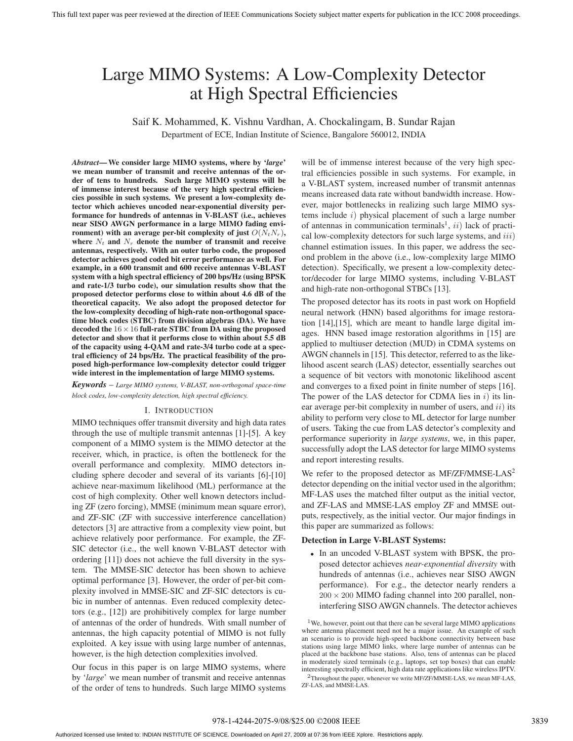# Large MIMO Systems: A Low-Complexity Detector at High Spectral Efficiencies

Saif K. Mohammed, K. Vishnu Vardhan, A. Chockalingam, B. Sundar Rajan Department of ECE, Indian Institute of Science, Bangalore 560012, INDIA

*Abstract***—We consider large MIMO systems, where by '***large***' we mean number of transmit and receive antennas of the order of tens to hundreds. Such large MIMO systems will be of immense interest because of the very high spectral efficiencies possible in such systems. We present a low-complexity detector which achieves uncoded near-exponential diversity performance for hundreds of antennas in V-BLAST (i.e., achieves near SISO AWGN performance in a large MIMO fading environment**) with an average per-bit complexity of just  $O(N_tN_r)$ , where  $N_t$  and  $N_r$  denote the number of transmit and receive **antennas, respectively. With an outer turbo code, the proposed detector achieves good coded bit error performance as well. For example, in a 600 transmit and 600 receive antennas V-BLAST system with a high spectral efficiency of 200 bps/Hz (using BPSK and rate-1/3 turbo code), our simulation results show that the proposed detector performs close to within about 4.6 dB of the theoretical capacity. We also adopt the proposed detector for the low-complexity decoding of high-rate non-orthogonal spacetime block codes (STBC) from division algebras (DA). We have decoded the** 16×16 **full-rate STBC from DA using the proposed detector and show that it performs close to within about 5.5 dB of the capacity using 4-QAM and rate-3/4 turbo code at a spectral efficiency of 24 bps/Hz. The practical feasibility of the proposed high-performance low-complexity detector could trigger wide interest in the implementation of large MIMO systems.**

*Keywords* – *Large MIMO systems, V-BLAST, non-orthogonal space-time block codes, low-complexity detection, high spectral efficiency.*

## I. INTRODUCTION

MIMO techniques offer transmit diversity and high data rates through the use of multiple transmit antennas [1]-[5]. A key component of a MIMO system is the MIMO detector at the receiver, which, in practice, is often the bottleneck for the overall performance and complexity. MIMO detectors including sphere decoder and several of its variants [6]-[10] achieve near-maximum likelihood (ML) performance at the cost of high complexity. Other well known detectors including ZF (zero forcing), MMSE (minimum mean square error), and ZF-SIC (ZF with successive interference cancellation) detectors [3] are attractive from a complexity view point, but achieve relatively poor performance. For example, the ZF-SIC detector (i.e., the well known V-BLAST detector with ordering [11]) does not achieve the full diversity in the system. The MMSE-SIC detector has been shown to achieve optimal performance [3]. However, the order of per-bit complexity involved in MMSE-SIC and ZF-SIC detectors is cubic in number of antennas. Even reduced complexity detectors (e.g., [12]) are prohibitively complex for large number of antennas of the order of hundreds. With small number of antennas, the high capacity potential of MIMO is not fully exploited. A key issue with using large number of antennas, however, is the high detection complexities involved.

Our focus in this paper is on large MIMO systems, where by '*large*' we mean number of transmit and receive antennas of the order of tens to hundreds. Such large MIMO systems will be of immense interest because of the very high spectral efficiencies possible in such systems. For example, in a V-BLAST system, increased number of transmit antennas means increased data rate without bandwidth increase. However, major bottlenecks in realizing such large MIMO systems include  $i)$  physical placement of such a large number of antennas in communication terminals<sup>1</sup>,  $ii)$  lack of practical low-complexity detectors for such large systems, and  $iii)$ channel estimation issues. In this paper, we address the second problem in the above (i.e., low-complexity large MIMO detection). Specifically, we present a low-complexity detector/decoder for large MIMO systems, including V-BLAST and high-rate non-orthogonal STBCs [13].

The proposed detector has its roots in past work on Hopfield neural network (HNN) based algorithms for image restoration [14],[15], which are meant to handle large digital images. HNN based image restoration algorithms in [15] are applied to multiuser detection (MUD) in CDMA systems on AWGN channels in [15]. This detector, referred to as the likelihood ascent search (LAS) detector, essentially searches out a sequence of bit vectors with monotonic likelihood ascent and converges to a fixed point in finite number of steps [16]. The power of the LAS detector for CDMA lies in  $i$ ) its linear average per-bit complexity in number of users, and  $ii)$  its ability to perform very close to ML detector for large number of users. Taking the cue from LAS detector's complexity and performance superiority in *large systems*, we, in this paper, successfully adopt the LAS detector for large MIMO systems and report interesting results.

We refer to the proposed detector as MF/ZF/MMSE-LAS<sup>2</sup> detector depending on the initial vector used in the algorithm; MF-LAS uses the matched filter output as the initial vector, and ZF-LAS and MMSE-LAS employ ZF and MMSE outputs, respectively, as the initial vector. Our major findings in this paper are summarized as follows:

#### **Detection in Large V-BLAST Systems:**

• In an uncoded V-BLAST system with BPSK, the proposed detector achieves *near-exponential diversity* with hundreds of antennas (i.e., achieves near SISO AWGN performance). For e.g., the detector nearly renders a  $200 \times 200$  MIMO fading channel into 200 parallel, noninterfering SISO AWGN channels. The detector achieves

<sup>1</sup>We, however, point out that there can be several large MIMO applications where antenna placement need not be a major issue. An example of such an scenario is to provide high-speed backbone connectivity between base stations using large MIMO links, where large number of antennas can be placed at the backbone base stations. Also, tens of antennas can be placed in moderately sized terminals (e.g., laptops, set top boxes) that can enable interesting spectrally efficient, high data rate applications like wireless IPTV.

<sup>2</sup>Throughout the paper, whenever we write MF/ZF/MMSE-LAS, we mean MF-LAS, ZF-LAS, and MMSE-LAS.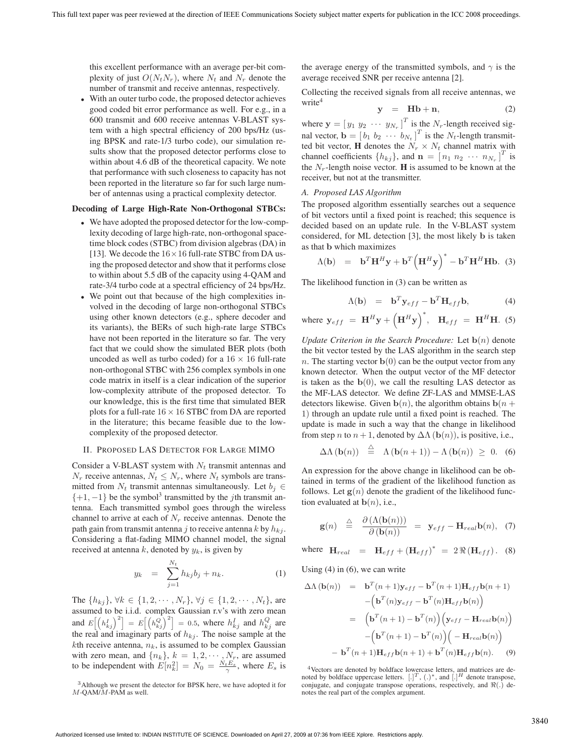this excellent performance with an average per-bit complexity of just  $O(N_tN_r)$ , where  $N_t$  and  $N_r$  denote the number of transmit and receive antennas, respectively.

• With an outer turbo code, the proposed detector achieves good coded bit error performance as well. For e.g., in a 600 transmit and 600 receive antennas V-BLAST system with a high spectral efficiency of 200 bps/Hz (using BPSK and rate-1/3 turbo code), our simulation results show that the proposed detector performs close to within about 4.6 dB of the theoretical capacity. We note that performance with such closeness to capacity has not been reported in the literature so far for such large number of antennas using a practical complexity detector.

# **Decoding of Large High-Rate Non-Orthogonal STBCs:**

- We have adopted the proposed detector for the low-complexity decoding of large high-rate, non-orthogonal spacetime block codes (STBC) from division algebras (DA) in [13]. We decode the  $16 \times 16$  full-rate STBC from DA using the proposed detector and show that it performs close to within about 5.5 dB of the capacity using 4-QAM and rate-3/4 turbo code at a spectral efficiency of 24 bps/Hz.
- We point out that because of the high complexities involved in the decoding of large non-orthogonal STBCs using other known detectors (e.g., sphere decoder and its variants), the BERs of such high-rate large STBCs have not been reported in the literature so far. The very fact that we could show the simulated BER plots (both uncoded as well as turbo coded) for a  $16 \times 16$  full-rate non-orthogonal STBC with 256 complex symbols in one code matrix in itself is a clear indication of the superior low-complexity attribute of the proposed detector. To our knowledge, this is the first time that simulated BER plots for a full-rate  $16 \times 16$  STBC from DA are reported in the literature; this became feasible due to the lowcomplexity of the proposed detector.

# II. PROPOSED LAS DETECTOR FOR LARGE MIMO

Consider a V-BLAST system with  $N_t$  transmit antennas and  $N_r$  receive antennas,  $N_t \leq N_r$ , where  $N_t$  symbols are transmitted from  $N_t$  transmit antennas simultaneously. Let  $b_i \in$  $\{+1, -1\}$  be the symbol<sup>3</sup> transmitted by the *j*th transmit antenna. Each transmitted symbol goes through the wireless channel to arrive at each of  $N_r$  receive antennas. Denote the path gain from transmit antenna j to receive antenna k by  $h_{ki}$ . Considering a flat-fading MIMO channel model, the signal received at antenna  $k$ , denoted by  $y_k$ , is given by

$$
y_k = \sum_{j=1}^{N_t} h_{kj} b_j + n_k.
$$
 (1)

The  $\{h_{kj}\}, \forall k \in \{1, 2, \cdots, N_r\}, \forall j \in \{1, 2, \cdots, N_t\},$  are assumed to be i.i.d. complex Gaussian r.v's with zero mean and  $E\left[\left(h_{kj}^I\right)^2\right] = E\left[\left(h_{kj}^Q\right)^2\right] = 0.5$ , where  $h_{kj}^I$  and  $h_{kj}^Q$  are the real and imaginary parts of  $h_{kj}$ . The noise sample at the kth receive antenna,  $n_k$ , is assumed to be complex Gaussian with zero mean, and  $\{n_k\}$ ,  $k = 1, 2, \dots, N_r$ , are assumed with zero mean, and  $\{n_k\}$ ,  $k = 1, 2, \dots, N_r$ , are assumed<br>to be independent with  $E[n^2] = N_c = \frac{N_t E_s}{r}$  where E is to be independent with  $E[n_k^2] = N_0 = \frac{N_t E_s}{\gamma}$ , where  $E_s$  is

the average energy of the transmitted symbols, and  $\gamma$  is the average received SNR per receive antenna [2].

Collecting the received signals from all receive antennas, we write<sup>4</sup>

$$
y = Hb + n,\t(2)
$$

where  $\mathbf{y} = \begin{bmatrix} y_1 & y_2 & \cdots & y_{N_r} \end{bmatrix}$ <sup>T</sup> is the N<sub>r</sub>-length received sig-<br> $\frac{1}{T}$  is the N<sub>r</sub> length transmit nal vector,  $\mathbf{b} = \begin{bmatrix} b_1 & b_2 & \cdots & b_{N_t} \end{bmatrix}^T$  is the  $N_t$ -length transmit-<br>ted bit vector. **H** denotes the  $N_t \times N_t$  channel matrix with ted bit vector, **H** denotes the  $N_r \times N_t$  channel matrix with channel coefficients  $\{h_{kj}\}$ , and  $\mathbf{n} = [n_1 \ n_2 \ \cdots \ n_{N_r}]^T$  is<br>the N<sub>r</sub>-length poise vector. **H** is assumed to be known at the the  $N_r$ -length noise vector. **H** is assumed to be known at the receiver, but not at the transmitter.

## *A. Proposed LAS Algorithm*

The proposed algorithm essentially searches out a sequence of bit vectors until a fixed point is reached; this sequence is decided based on an update rule. In the V-BLAST system considered, for ML detection [3], the most likely **b** is taken as that **b** which maximizes

$$
\Lambda(\mathbf{b}) = \mathbf{b}^T \mathbf{H}^H \mathbf{y} + \mathbf{b}^T (\mathbf{H}^H \mathbf{y})^* - \mathbf{b}^T \mathbf{H}^H \mathbf{H} \mathbf{b}.
$$
 (3)

The likelihood function in (3) can be written as

$$
\Lambda(\mathbf{b}) = \mathbf{b}^T \mathbf{y}_{eff} - \mathbf{b}^T \mathbf{H}_{eff} \mathbf{b}, \tag{4}
$$

where 
$$
\mathbf{y}_{eff} = \mathbf{H}^H \mathbf{y} + (\mathbf{H}^H \mathbf{y})^*
$$
,  $\mathbf{H}_{eff} = \mathbf{H}^H \mathbf{H}$ . (5)

*Update Criterion in the Search Procedure:* Let  $\mathbf{b}(n)$  denote the bit vector tested by the LAS algorithm in the search step n. The starting vector  $\mathbf{b}(0)$  can be the output vector from any known detector. When the output vector of the MF detector is taken as the  $\mathbf{b}(0)$ , we call the resulting LAS detector as the MF-LAS detector. We define ZF-LAS and MMSE-LAS detectors likewise. Given  $\mathbf{b}(n)$ , the algorithm obtains  $\mathbf{b}(n +$ 1) through an update rule until a fixed point is reached. The update is made in such a way that the change in likelihood from step n to  $n + 1$ , denoted by  $\Delta \Lambda$  (**b** $(n)$ ), is positive, i.e.,

$$
\Delta\Lambda\left(\mathbf{b}(n)\right) \stackrel{\triangle}{=} \Lambda\left(\mathbf{b}(n+1)\right) - \Lambda\left(\mathbf{b}(n)\right) \geq 0. \quad (6)
$$

An expression for the above change in likelihood can be obtained in terms of the gradient of the likelihood function as follows. Let  $g(n)$  denote the gradient of the likelihood function evaluated at  $\mathbf{b}(n)$ , i.e.,

$$
\mathbf{g}(n) \stackrel{\triangle}{=} \frac{\partial \left( \Lambda(\mathbf{b}(n)) \right)}{\partial \left( \mathbf{b}(n) \right)} = \mathbf{y}_{eff} - \mathbf{H}_{real} \mathbf{b}(n), \quad (7)
$$

where  $H_{real} = H_{eff} + (H_{eff})^* = 2 \Re(H_{eff})$ . (8)

Using  $(4)$  in  $(6)$ , we can write

$$
\Delta \Lambda (\mathbf{b}(n)) = \mathbf{b}^{T}(n+1)\mathbf{y}_{eff} - \mathbf{b}^{T}(n+1)\mathbf{H}_{eff}\mathbf{b}(n+1)
$$

$$
- (\mathbf{b}^{T}(n)\mathbf{y}_{eff} - \mathbf{b}^{T}(n)\mathbf{H}_{eff}\mathbf{b}(n))
$$

$$
= (\mathbf{b}^{T}(n+1) - \mathbf{b}^{T}(n)) (\mathbf{y}_{eff} - \mathbf{H}_{real}\mathbf{b}(n))
$$

$$
- (\mathbf{b}^{T}(n+1) - \mathbf{b}^{T}(n)) (-\mathbf{H}_{real}\mathbf{b}(n))
$$

$$
- \mathbf{b}^{T}(n+1)\mathbf{H}_{eff}\mathbf{b}(n+1) + \mathbf{b}^{T}(n)\mathbf{H}_{eff}\mathbf{b}(n).
$$
 (9)

<sup>3</sup>Although we present the detector for BPSK here, we have adopted it for  $M$ -QAM/ $M$ -PAM as well.

<sup>4</sup>Vectors are denoted by boldface lowercase letters, and matrices are denoted by boldface uppercase letters.  $[.]^T$ ,  $(.)^*$ , and  $[.]^H$  denote transpose, conjugate and conjugate transpose operations, respectively, and  $\Re()$  deconjugate, and conjugate transpose operations, respectively, and  $\Re(.)$  denotes the real part of the complex argument notes the real part of the complex argument.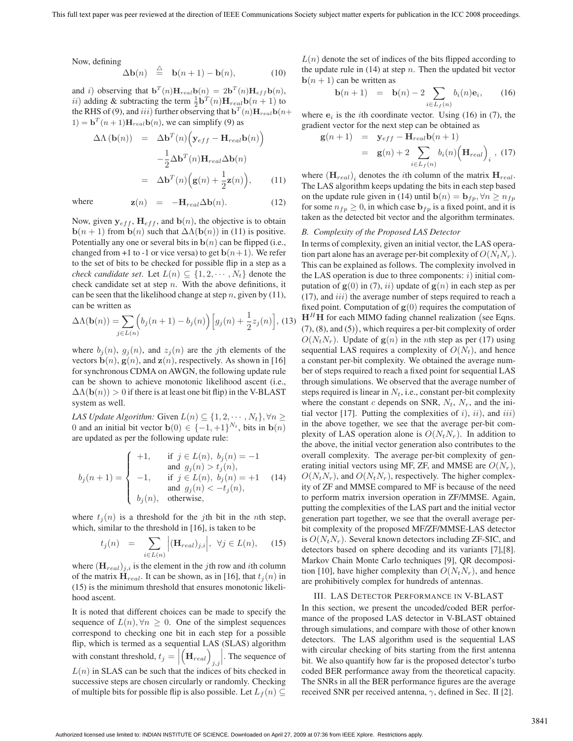Now, defining

$$
\Delta \mathbf{b}(n) \stackrel{\triangle}{=} \mathbf{b}(n+1) - \mathbf{b}(n), \tag{10}
$$

and i) observing that  $\mathbf{b}^T(n)\mathbf{H}_{real}\mathbf{b}(n)=2\mathbf{b}^T(n)\mathbf{H}_{eff}\mathbf{b}(n),$ ii) adding & subtracting the term  $\frac{1}{2} \mathbf{b}^T(n) \mathbf{H}_{real} \mathbf{b}(n+1)$  to the RHS of (9) and *iii*) further observing that  $\mathbf{b}^T(n) \mathbf{H}$   $\rightarrow \mathbf{b}(n)$ the RHS of (9), and *iii*) further observing that  $\mathbf{b}^T(n)\mathbf{H}_{real}\mathbf{b}(n+$  $1) = \mathbf{b}^T(n+1)\mathbf{H}_{real}\mathbf{b}(n)$ , we can simplify (9) as

$$
\Delta \Lambda (\mathbf{b}(n)) = \Delta \mathbf{b}^{T}(n) \Big( \mathbf{y}_{eff} - \mathbf{H}_{real} \mathbf{b}(n) \Big) \n- \frac{1}{2} \Delta \mathbf{b}^{T}(n) \mathbf{H}_{real} \Delta \mathbf{b}(n) \n= \Delta \mathbf{b}^{T}(n) \Big( \mathbf{g}(n) + \frac{1}{2} \mathbf{z}(n) \Big), \qquad (11)
$$

where 
$$
\mathbf{z}(n) = -\mathbf{H}_{real}\Delta\mathbf{b}(n).
$$
 (12)

Now, given  $y_{eff}$ ,  $H_{eff}$ , and  $b(n)$ , the objective is to obtain **b**( $n + 1$ ) from **b**( $n$ ) such that  $\Delta\Lambda(\mathbf{b}(n))$  in (11) is positive. Potentially any one or several bits in  $b(n)$  can be flipped (i.e., changed from  $+1$  to  $-1$  or vice versa) to get  $\mathbf{b}(n+1)$ . We refer to the set of bits to be checked for possible flip in a step as a *check candidate set.* Let  $L(n) \subseteq \{1, 2, \cdots, N_t\}$  denote the check candidate set at step  $n$ . With the above definitions, it can be seen that the likelihood change at step  $n$ , given by (11), can be written as

$$
\Delta\Lambda(\mathbf{b}(n)) = \sum_{j \in L(n)} \Big( b_j(n+1) - b_j(n) \Big) \Big[ g_j(n) + \frac{1}{2} z_j(n) \Big], \tag{13}
$$

where  $b_i(n)$ ,  $g_i(n)$ , and  $z_i(n)$  are the jth elements of the vectors  $\mathbf{b}(n)$ ,  $\mathbf{g}(n)$ , and  $\mathbf{z}(n)$ , respectively. As shown in [16] for synchronous CDMA on AWGN, the following update rule can be shown to achieve monotonic likelihood ascent (i.e.,  $\Delta\Lambda(\mathbf{b}(n)) > 0$  if there is at least one bit flip) in the V-BLAST system as well.

*LAS Update Algorithm:* Given  $L(n) \subseteq \{1, 2, \dots, N_t\}, \forall n \geq 1$ 0 and an initial bit vector **b**(0)  $\in \{-1, +1\}^{N_t}$ , bits in **b**(n) are updated as per the following update rule:

$$
b_j(n+1) = \begin{cases} +1, & \text{if } j \in L(n), \ b_j(n) = -1 \\ & \text{and } g_j(n) > t_j(n), \\ -1, & \text{if } j \in L(n), \ b_j(n) = +1 \\ & \text{and } g_j(n) < -t_j(n), \\ b_j(n), & \text{otherwise,} \end{cases}
$$
(14)

where  $t_i(n)$  is a threshold for the jth bit in the nth step, which, similar to the threshold in [16], is taken to be

$$
t_j(n) = \sum_{i \in L(n)} \left| (\mathbf{H}_{real})_{j,i} \right|, \ \forall j \in L(n), \quad (15)
$$

where  $(\mathbf{H}_{real})_{j,i}$  is the element in the jth row and ith column of the matrix  $\mathbf{H}_{real}$ . It can be shown, as in [16], that  $t_i(n)$  in (15) is the minimum threshold that ensures monotonic likelihood ascent.

It is noted that different choices can be made to specify the sequence of  $L(n), \forall n \geq 0$ . One of the simplest sequences correspond to checking one bit in each step for a possible flip, which is termed as a sequential LAS (SLAS) algorithm with constant threshold,  $t_j = \left| \left( \mathbf{H}_{real} \right)_{j,j} \right|$  . The sequence of  $L(n)$  in SLAS can be such that the indices of bits checked in successive steps are chosen circularly or randomly. Checking of multiple bits for possible flip is also possible. Let  $L_f(n) \subseteq$   $L(n)$  denote the set of indices of the bits flipped according to the update rule in  $(14)$  at step n. Then the updated bit vector  **can be written as** 

$$
\mathbf{b}(n+1) = \mathbf{b}(n) - 2 \sum_{i \in L_f(n)} b_i(n) \mathbf{e}_i, \qquad (16)
$$

where  $\mathbf{e}_i$  is the *i*th coordinate vector. Using (16) in (7), the gradient vector for the next step can be obtained as

$$
\mathbf{g}(n+1) = \mathbf{y}_{eff} - \mathbf{H}_{real} \mathbf{b}(n+1)
$$
  
=  $\mathbf{g}(n) + 2 \sum_{i \in L_f(n)} b_i(n) (\mathbf{H}_{real})_i$ , (17)

where  $(\mathbf{H}_{real})$ , denotes the *i*th column of the matrix  $\mathbf{H}_{real}$ . The LAS algorithm keeps updating the bits in each step based on the update rule given in (14) until  $\mathbf{b}(n) = \mathbf{b}_{fp}$ ,  $\forall n \ge n_{fp}$ for some  $n_{fp} \geq 0$ , in which case  $\mathbf{b}_{fp}$  is a fixed point, and it is taken as the detected bit vector and the algorithm terminates.

# *B. Complexity of the Proposed LAS Detector*

In terms of complexity, given an initial vector, the LAS operation part alone has an average per-bit complexity of  $O(N_tN_r)$ . This can be explained as follows. The complexity involved in the LAS operation is due to three components:  $i)$  initial computation of  $g(0)$  in (7), *ii*) update of  $g(n)$  in each step as per  $(17)$ , and  $iii)$  the average number of steps required to reach a fixed point. Computation of  $g(0)$  requires the computation of  $H<sup>H</sup>H$  for each MIMO fading channel realization (see Eqns.<br>(7) (8) and (5)) which requires a per bit complexity of order (7), (8), and (5) , which requires a per-bit complexity of order  $O(N_tN_r)$ . Update of  $g(n)$  in the *n*th step as per (17) using sequential LAS requires a complexity of  $O(N_t)$ , and hence a constant per-bit complexity. We obtained the average number of steps required to reach a fixed point for sequential LAS through simulations. We observed that the average number of steps required is linear in  $N_t$ , i.e., constant per-bit complexity where the constant c depends on SNR,  $N_t$ ,  $N_r$ , and the initial vector [17]. Putting the complexities of  $i$ ),  $ii$ ), and  $iii$ ) in the above together, we see that the average per-bit complexity of LAS operation alone is  $O(N_tN_r)$ . In addition to the above, the initial vector generation also contributes to the overall complexity. The average per-bit complexity of generating initial vectors using MF, ZF, and MMSE are  $O(N_r)$ ,  $O(N_tN_r)$ , and  $O(N_tN_r)$ , respectively. The higher complexity of ZF and MMSE compared to MF is because of the need to perform matrix inversion operation in ZF/MMSE. Again, putting the complexities of the LAS part and the initial vector generation part together, we see that the overall average perbit complexity of the proposed MF/ZF/MMSE-LAS detector is  $O(N_tN_r)$ . Several known detectors including ZF-SIC, and detectors based on sphere decoding and its variants [7],[8]. Markov Chain Monte Carlo techniques [9], QR decomposition [10], have higher complexity than  $O(N_tN_r)$ , and hence are prohibitively complex for hundreds of antennas.

## III. LAS DETECTOR PERFORMANCE IN V-BLAST

In this section, we present the uncoded/coded BER performance of the proposed LAS detector in V-BLAST obtained through simulations, and compare with those of other known detectors. The LAS algorithm used is the sequential LAS with circular checking of bits starting from the first antenna bit. We also quantify how far is the proposed detector's turbo coded BER performance away from the theoretical capacity. The SNRs in all the BER performance figures are the average received SNR per received antenna,  $\gamma$ , defined in Sec. II [2].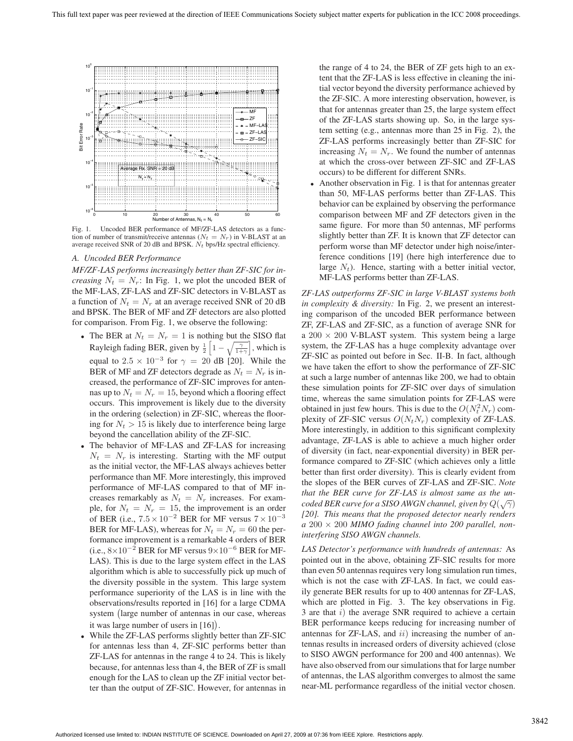

Fig. 1. Uncoded BER performance of MF/ZF-LAS detectors as a function of number of transmit/receive antennas ( $N_t = N_r$ ) in V-BLAST at an average received SNR of 20 dB and BPSK.  $N_t$  bps/Hz spectral efficiency.

#### *A. Uncoded BER Performance*

*MF/ZF-LAS performs increasingly better than ZF-SIC for increasing*  $N_t = N_r$ : In Fig. 1, we plot the uncoded BER of the MF-LAS, ZF-LAS and ZF-SIC detectors in V-BLAST as a function of  $N_t = N_r$  at an average received SNR of 20 dB and BPSK. The BER of MF and ZF detectors are also plotted for comparison. From Fig. 1, we observe the following:

- The BER at  $N_t = N_r = 1$  is nothing but the SISO flat Rayleigh fading BER, given by  $\frac{1}{2} \left[ 1 - \sqrt{\frac{\gamma}{1+\gamma}} \right]$ , which is equal to  $2.5 \times 10^{-3}$  for  $\gamma = 20$  dB [20]. While the BER of MF and ZF detectors degrade as  $N_t = N_r$  is increased, the performance of ZF-SIC improves for antennas up to  $N_t = N_r = 15$ , beyond which a flooring effect occurs. This improvement is likely due to the diversity in the ordering (selection) in ZF-SIC, whereas the flooring for  $N_t > 15$  is likely due to interference being large beyond the cancellation ability of the ZF-SIC.
- The behavior of MF-LAS and ZF-LAS for increasing  $N_t = N_r$  is interesting. Starting with the MF output as the initial vector, the MF-LAS always achieves better performance than MF. More interestingly, this improved performance of MF-LAS compared to that of MF increases remarkably as  $N_t = N_r$  increases. For exam-<br>ple, for  $N_t = N_r = 15$ , the improvement is an order ple, for  $N_t = N_r = 15$ , the improvement is an order<br>of BER (i.e.,  $7.5 \times 10^{-2}$  BER for ME versus  $7 \times 10^{-3}$ ) of BER (i.e.,  $7.5 \times 10^{-2}$  BER for MF versus  $7 \times 10^{-3}$ <br>BER for MEJ AS), whereas for  $N_r = N_r = 60$  the per-BER for MF-LAS), whereas for  $N_t = N_r = 60$  the performance improvement is a remarkable 4 orders of BER (i.e.,  $8\times10^{-2}$  BER for MF versus  $9\times10^{-6}$  BER for MF-LAS). This is due to the large system effect in the LAS algorithm which is able to successfully pick up much of the diversity possible in the system. This large system performance superiority of the LAS is in line with the observations/results reported in [16] for a large CDMA system large number of antennas in our case, whereas it was large number of users in [16] .
- While the ZF-LAS performs slightly better than ZF-SIC for antennas less than 4, ZF-SIC performs better than ZF-LAS for antennas in the range 4 to 24. This is likely because, for antennas less than 4, the BER of ZF is small enough for the LAS to clean up the ZF initial vector better than the output of ZF-SIC. However, for antennas in

the range of 4 to 24, the BER of ZF gets high to an extent that the ZF-LAS is less effective in cleaning the initial vector beyond the diversity performance achieved by the ZF-SIC. A more interesting observation, however, is that for antennas greater than 25, the large system effect of the ZF-LAS starts showing up. So, in the large system setting (e.g., antennas more than 25 in Fig. 2), the ZF-LAS performs increasingly better than ZF-SIC for increasing  $N_t = N_r$ . We found the number of antennas at which the cross-over between ZF-SIC and ZF-LAS occurs) to be different for different SNRs.

• Another observation in Fig. 1 is that for antennas greater than 50, MF-LAS performs better than ZF-LAS. This behavior can be explained by observing the performance comparison between MF and ZF detectors given in the same figure. For more than 50 antennas, MF performs slightly better than ZF. It is known that ZF detector can perform worse than MF detector under high noise/interference conditions [19] (here high interference due to large  $N_t$ ). Hence, starting with a better initial vector, MF-LAS performs better than ZF-LAS.

*ZF-LAS outperforms ZF-SIC in large V-BLAST systems both in complexity & diversity:* In Fig. 2, we present an interesting comparison of the uncoded BER performance between ZF, ZF-LAS and ZF-SIC, as a function of average SNR for a  $200 \times 200$  V-BLAST system. This system being a large system, the ZF-LAS has a huge complexity advantage over ZF-SIC as pointed out before in Sec. II-B. In fact, although we have taken the effort to show the performance of ZF-SIC at such a large number of antennas like 200, we had to obtain these simulation points for ZF-SIC over days of simulation time, whereas the same simulation points for ZF-LAS were obtained in just few hours. This is due to the  $O(N_t^2 N_r)$  com-<br>plexity of ZE-SIC versus  $O(N, N_r)$  complexity of ZE-LAS plexity of ZF-SIC versus  $O(N_tN_r)$  complexity of ZF-LAS. More interestingly, in addition to this significant complexity advantage, ZF-LAS is able to achieve a much higher order of diversity (in fact, near-exponential diversity) in BER performance compared to ZF-SIC (which achieves only a little better than first order diversity). This is clearly evident from the slopes of the BER curves of ZF-LAS and ZF-SIC. *Note that the BER curve for ZF-LAS is almost same as the uncoded BER curve for a SISO AWGN channel, given by*  $Q(\sqrt{\gamma})$ <br>[201] This means that the proposed detector nearly renders *[20]. This means that the proposed detector nearly renders a* 200 × 200 *MIMO fading channel into 200 parallel, noninterfering SISO AWGN channels.*

*LAS Detector's performance with hundreds of antennas:* As pointed out in the above, obtaining ZF-SIC results for more than even 50 antennas requires very long simulation run times, which is not the case with ZF-LAS. In fact, we could easily generate BER results for up to 400 antennas for ZF-LAS, which are plotted in Fig. 3. The key observations in Fig. 3 are that  $i)$  the average SNR required to achieve a certain BER performance keeps reducing for increasing number of antennas for  $ZF-LAS$ , and  $ii)$  increasing the number of antennas results in increased orders of diversity achieved (close to SISO AWGN performance for 200 and 400 antennas). We have also observed from our simulations that for large number of antennas, the LAS algorithm converges to almost the same near-ML performance regardless of the initial vector chosen.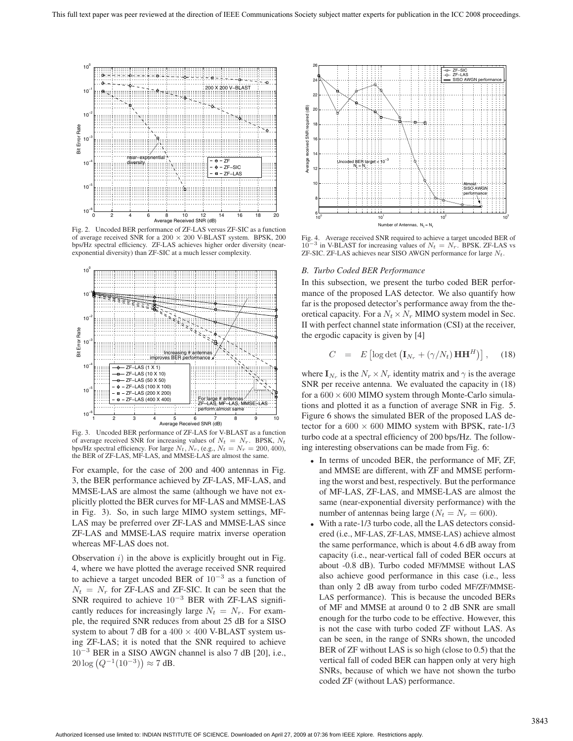

Fig. 2. Uncoded BER performance of ZF-LAS versus ZF-SIC as a function of average received SNR for a 200 <sup>×</sup> 200 V-BLAST system. BPSK, 200 bps/Hz spectral efficiency. ZF-LAS achieves higher order diversity (nearexponential diversity) than ZF-SIC at a much lesser complexity.



Fig. 3. Uncoded BER performance of ZF-LAS for V-BLAST as a function of average received SNR for increasing values of  $N_t = N_r$ . BPSK,  $N_t$ bps/Hz spectral efficiency. For large  $N_t$ ,  $N_r$ , (e.g.,  $N_t = N_r = 200, 400$ ), the BER of ZF-LAS, MF-LAS, and MMSE-LAS are almost the same.

For example, for the case of 200 and 400 antennas in Fig. 3, the BER performance achieved by ZF-LAS, MF-LAS, and MMSE-LAS are almost the same (although we have not explicitly plotted the BER curves for MF-LAS and MMSE-LAS in Fig. 3). So, in such large MIMO system settings, MF-LAS may be preferred over ZF-LAS and MMSE-LAS since ZF-LAS and MMSE-LAS require matrix inverse operation whereas MF-LAS does not.

Observation  $i$ ) in the above is explicitly brought out in Fig. 4, where we have plotted the average received SNR required to achieve a target uncoded BER of  $10^{-3}$  as a function of  $N_t = N_r$  for ZF-LAS and ZF-SIC. It can be seen that the SNR required to achieve  $10^{-3}$  BER with ZF-LAS significantly reduces for increasingly large  $N_t = N_r$ . For example, the required SNR reduces from about 25 dB for a SISO system to about 7 dB for a  $400 \times 400$  V-BLAST system using ZF-LAS; it is noted that the SNR required to achieve  $10^{-3}$  BER in a SISO AWGN channel is also 7 dB [20], i.e.,  $20 \log (Q^{-1}(10^{-3})) \approx 7$  dB.



Fig. 4. Average received SNR required to achieve a target uncoded BER of  $10^{-3}$  in V-BLAST for increasing values of  $N_t = N_r$ . BPSK. ZF-LAS vs ZF-SIC. ZF-LAS achieves near SISO AWGN performance for large  $N_t$ .

#### *B. Turbo Coded BER Performance*

In this subsection, we present the turbo coded BER performance of the proposed LAS detector. We also quantify how far is the proposed detector's performance away from the theoretical capacity. For a  $N_t \times N_r$  MIMO system model in Sec. II with perfect channel state information (CSI) at the receiver, the ergodic capacity is given by [4]

$$
C = E \left[ \log \det \left( \mathbf{I}_{N_r} + (\gamma/N_t) \mathbf{H} \mathbf{H}^H \right) \right], \quad (18)
$$

where  $\mathbf{I}_{N_r}$  is the  $N_r \times N_r$  identity matrix and  $\gamma$  is the average SNR per receive antenna. We evaluated the capacity in (18) for a  $600 \times 600$  MIMO system through Monte-Carlo simulations and plotted it as a function of average SNR in Fig. 5. Figure 6 shows the simulated BER of the proposed LAS detector for a  $600 \times 600$  MIMO system with BPSK, rate-1/3 turbo code at a spectral efficiency of 200 bps/Hz. The following interesting observations can be made from Fig. 6:

- In terms of uncoded BER, the performance of MF, ZF, and MMSE are different, with ZF and MMSE performing the worst and best, respectively. But the performance of MF-LAS, ZF-LAS, and MMSE-LAS are almost the same (near-exponential diversity performance) with the number of antennas being large ( $N_t = N_r = 600$ ).
- With a rate-1/3 turbo code, all the LAS detectors considered (i.e., MF-LAS, ZF-LAS, MMSE-LAS) achieve almost the same performance, which is about 4.6 dB away from capacity (i.e., near-vertical fall of coded BER occurs at about -0.8 dB). Turbo coded MF/MMSE without LAS also achieve good performance in this case (i.e., less than only 2 dB away from turbo coded MF/ZF/MMSE-LAS performance). This is because the uncoded BERs of MF and MMSE at around 0 to 2 dB SNR are small enough for the turbo code to be effective. However, this is not the case with turbo coded ZF without LAS. As can be seen, in the range of SNRs shown, the uncoded BER of ZF without LAS is so high (close to 0.5) that the vertical fall of coded BER can happen only at very high SNRs, because of which we have not shown the turbo coded ZF (without LAS) performance.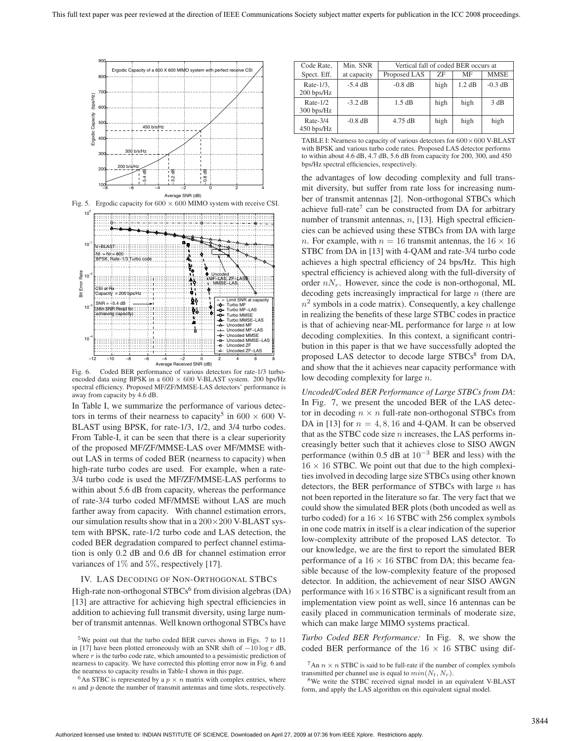

Fig. 5. Ergodic capacity for  $600 \times 600$  MIMO system with receive CSI.



Fig. 6. Coded BER performance of various detectors for rate-1/3 turboencoded data using BPSK in a  $600 \times 600$  V-BLAST system. 200 bps/Hz spectral efficiency. Proposed MF/ZF/MMSE-LAS detectors' performance is away from capacity by 4.6 dB.

In Table I, we summarize the performance of various detectors in terms of their nearness to capacity<sup>5</sup> in 600  $\times$  600 V-BLAST using BPSK, for rate-1/3, 1/2, and 3/4 turbo codes. From Table-I, it can be seen that there is a clear superiority of the proposed MF/ZF/MMSE-LAS over MF/MMSE without LAS in terms of coded BER (nearness to capacity) when high-rate turbo codes are used. For example, when a rate-3/4 turbo code is used the MF/ZF/MMSE-LAS performs to within about 5.6 dB from capacity, whereas the performance of rate-3/4 turbo coded MF/MMSE without LAS are much farther away from capacity. With channel estimation errors, our simulation results show that in a  $200\times200$  V-BLAST system with BPSK, rate-1/2 turbo code and LAS detection, the coded BER degradation compared to perfect channel estimation is only 0.2 dB and 0.6 dB for channel estimation error variances of 1% and 5%, respectively [17].

#### IV. LAS DECODING OF NON-ORTHOGONAL STBCS

High-rate non-orthogonal  $STBCs<sup>6</sup>$  from division algebras (DA) [13] are attractive for achieving high spectral efficiencies in addition to achieving full transmit diversity, using large number of transmit antennas. Well known orthogonal STBCs have

| Code Rate,                  | Min. SNR    | Vertical fall of coded BER occurs at |      |        |             |
|-----------------------------|-------------|--------------------------------------|------|--------|-------------|
| Spect. Eff.                 | at capacity | Proposed LAS                         | 7F   | MF     | <b>MMSE</b> |
| Rate-1/3,<br>$200$ bps/Hz   | $-5.4$ dB   | $-0.8$ dB                            | high | 1.2 dB | $-0.3$ dB   |
| Rate- $1/2$<br>$300$ bps/Hz | $-3.2$ dB   | 1.5 dB                               | high | high   | 3 dB        |
| $Rate-3/4$<br>$450$ bps/Hz  | $-0.8$ dB   | $4.75$ dB                            | high | high   | high        |

TABLE I: Nearness to capacity of various detectors for  $600 \times 600$  V-BLAST with BPSK and various turbo code rates. Proposed LAS detector performs to within about 4.6 dB, 4.7 dB, 5.6 dB from capacity for 200, 300, and 450 bps/Hz spectral efficiencies, respectively.

the advantages of low decoding complexity and full transmit diversity, but suffer from rate loss for increasing number of transmit antennas [2]. Non-orthogonal STBCs which achieve full-rate<sup>7</sup> can be constructed from DA for arbitrary number of transmit antennas,  $n$ , [13]. High spectral efficiencies can be achieved using these STBCs from DA with large n. For example, with  $n = 16$  transmit antennas, the  $16 \times 16$ STBC from DA in [13] with 4-QAM and rate-3/4 turbo code achieves a high spectral efficiency of 24 bps/Hz. This high spectral efficiency is achieved along with the full-diversity of order  $nN_r$ . However, since the code is non-orthogonal, ML decoding gets increasingly impractical for large  $n$  (there are  $n^2$  symbols in a code matrix). Consequently, a key challenge in realizing the benefits of these large STBC codes in practice is that of achieving near-ML performance for large  $n$  at low decoding complexities. In this context, a significant contribution in this paper is that we have successfully adopted the proposed LAS detector to decode large  $STBCs<sup>8</sup>$  from DA, and show that the it achieves near capacity performance with low decoding complexity for large n.

*Uncoded/Coded BER Performance of Large STBCs from DA*: In Fig. 7, we present the uncoded BER of the LAS detector in decoding  $n \times n$  full-rate non-orthogonal STBCs from DA in [13] for  $n = 4, 8, 16$  and 4-QAM. It can be observed that as the STBC code size  $n$  increases, the LAS performs increasingly better such that it achieves close to SISO AWGN performance (within 0.5 dB at  $10^{-3}$  BER and less) with the  $16 \times 16$  STBC. We point out that due to the high complexities involved in decoding large size STBCs using other known detectors, the BER performance of STBCs with large  $n$  has not been reported in the literature so far. The very fact that we could show the simulated BER plots (both uncoded as well as turbo coded) for a  $16 \times 16$  STBC with 256 complex symbols in one code matrix in itself is a clear indication of the superior low-complexity attribute of the proposed LAS detector. To our knowledge, we are the first to report the simulated BER performance of a  $16 \times 16$  STBC from DA; this became feasible because of the low-complexity feature of the proposed detector. In addition, the achievement of near SISO AWGN performance with  $16 \times 16$  STBC is a significant result from an implementation view point as well, since 16 antennas can be easily placed in communication terminals of moderate size, which can make large MIMO systems practical.

*Turbo Coded BER Performance:* In Fig. 8, we show the coded BER performance of the  $16 \times 16$  STBC using dif-

 $5$ We point out that the turbo coded BER curves shown in Figs. 7 to 11 in [17] have been plotted erroneously with an SNR shift of  $-10 \log r$  dB, where  $r$  is the turbo code rate, which amounted to a pessimistic prediction of nearness to capacity. We have corrected this plotting error now in Fig. 6 and the nearness to capacity results in Table-I shown in this page.

<sup>&</sup>lt;sup>6</sup>An STBC is represented by a  $p \times n$  matrix with complex entries, where  $\boldsymbol{n}$  and  $\boldsymbol{p}$  denote the number of transmit antennas and time slots, respectively.

<sup>&</sup>lt;sup>7</sup>An  $n \times n$  STBC is said to be full-rate if the number of complex symbols transmitted per channel use is equal to  $min(N_t, N_r)$ .

 $8$ We write the STBC received signal model in an equivalent V-BLAST form, and apply the LAS algorithm on this equivalent signal model.